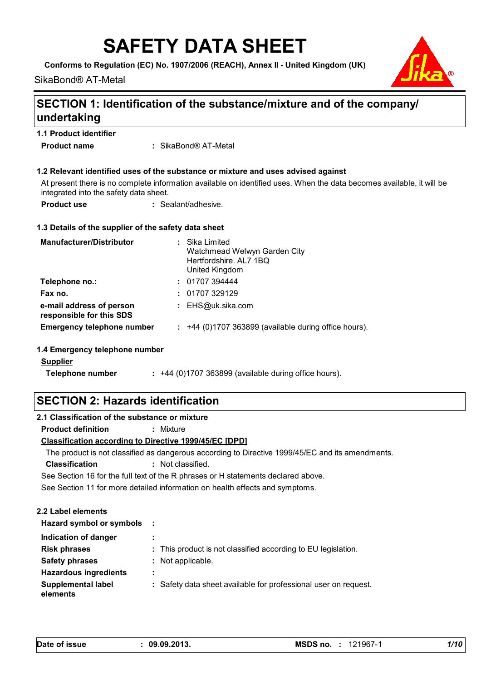# **SAFETY DATA SHEET**

**Conforms to Regulation (EC) No. 1907/2006 (REACH), Annex II - United Kingdom (UK)**

SikaBond® AT-Metal



### **SECTION 1: Identification of the substance/mixture and of the company/ undertaking**

| <b>1.1 Product identifier</b> |  |
|-------------------------------|--|
|-------------------------------|--|

SikaBond® AT-Metal **: Product name**

#### **1.2 Relevant identified uses of the substance or mixture and uses advised against**

At present there is no complete information available on identified uses. When the data becomes available, it will be integrated into the safety data sheet.

| <b>Product use</b> | : Sealant/adhesive. |
|--------------------|---------------------|
|--------------------|---------------------|

#### **1.3 Details of the supplier of the safety data sheet**

| <b>Manufacturer/Distributor</b>                      | : Sika Limited<br>Watchmead Welwyn Garden City<br>Hertfordshire, AL7 1BQ<br>United Kingdom |
|------------------------------------------------------|--------------------------------------------------------------------------------------------|
| Telephone no.:                                       | : 01707394444                                                                              |
| Fax no.                                              | : 01707329129                                                                              |
| e-mail address of person<br>responsible for this SDS | : $EHS@uk.sika.com$                                                                        |
| <b>Emergency telephone number</b>                    | $:$ +44 (0)1707 363899 (available during office hours).                                    |
| 1.4 Emergency telephone number                       |                                                                                            |
| <b>Supplier</b>                                      |                                                                                            |
| Telephone number                                     | $: +44$ (0)1707 363899 (available during office hours).                                    |

### **SECTION 2: Hazards identification**

| 2.1 Classification of the substance or mixture                                    |                                                                                                  |  |
|-----------------------------------------------------------------------------------|--------------------------------------------------------------------------------------------------|--|
| Product definition                                                                | : Mixture                                                                                        |  |
| <b>Classification according to Directive 1999/45/EC [DPD]</b>                     |                                                                                                  |  |
|                                                                                   | The product is not classified as dangerous according to Directive 1999/45/EC and its amendments. |  |
| <b>Classification</b>                                                             | : Not classified.                                                                                |  |
| See Section 16 for the full text of the R phrases or H statements declared above. |                                                                                                  |  |
|                                                                                   | See Section 11 for more detailed information on health effects and symptoms.                     |  |
|                                                                                   |                                                                                                  |  |
| 2.2 Label elements                                                                |                                                                                                  |  |
| Hazard symbol or symbols :                                                        |                                                                                                  |  |
| Indication of danger                                                              | ٠<br>$\blacksquare$                                                                              |  |
| <b>Risk phrases</b>                                                               | : This product is not classified according to EU legislation.                                    |  |
| <b>Safety phrases</b>                                                             | $:$ Not applicable.                                                                              |  |
| <b>Hazardous ingredients</b>                                                      | ٠<br>٠.                                                                                          |  |

**:** Safety data sheet available for professional user on request.

**elements**

**Supplemental label**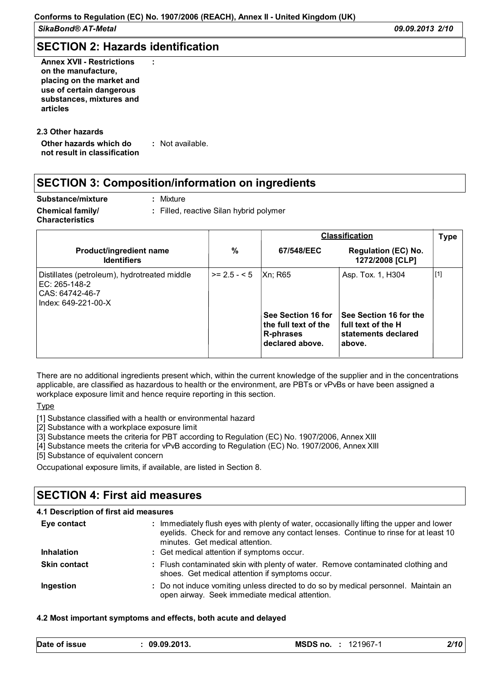*SikaBond® AT-Metal 09.09.2013 2/10*

### **SECTION 2: Hazards identification**

**:**

**Annex XVII - Restrictions on the manufacture, placing on the market and use of certain dangerous substances, mixtures and articles**

#### **Other hazards which do : not result in classification** : Not available. **2.3 Other hazards**

# **SECTION 3: Composition/information on ingredients**

**Substance/mixture Chemical family/**

**:**

**:** Filled, reactive Silan hybrid polymer

**Characteristics**

|                                                                                                           |                |                                                                                       | <b>Classification</b>                                                                              | <b>Type</b> |
|-----------------------------------------------------------------------------------------------------------|----------------|---------------------------------------------------------------------------------------|----------------------------------------------------------------------------------------------------|-------------|
| Product/ingredient name<br><b>Identifiers</b>                                                             | %              | 67/548/EEC                                                                            | <b>Regulation (EC) No.</b><br>1272/2008 [CLP]                                                      |             |
| Distillates (petroleum), hydrotreated middle<br>IEC: 265-148-2<br>ICAS: 64742-46-7<br>Index: 649-221-00-X | $>= 2.5 - 5.5$ | Xn: R65<br>See Section 16 for<br>the full text of the<br>R-phrases<br>declared above. | Asp. Tox. 1, H304<br>See Section 16 for the<br>full text of the H<br>statements declared<br>above. | $[1]$       |

There are no additional ingredients present which, within the current knowledge of the supplier and in the concentrations applicable, are classified as hazardous to health or the environment, are PBTs or vPvBs or have been assigned a workplace exposure limit and hence require reporting in this section.

Type

[1] Substance classified with a health or environmental hazard

[2] Substance with a workplace exposure limit

[3] Substance meets the criteria for PBT according to Regulation (EC) No. 1907/2006, Annex XIII

[4] Substance meets the criteria for vPvB according to Regulation (EC) No. 1907/2006, Annex XIII

[5] Substance of equivalent concern

Occupational exposure limits, if available, are listed in Section 8.

# **SECTION 4: First aid measures**

| 4.1 Description of first aid measures |                                                                                                                                                                                                                   |
|---------------------------------------|-------------------------------------------------------------------------------------------------------------------------------------------------------------------------------------------------------------------|
| Eye contact                           | : Immediately flush eyes with plenty of water, occasionally lifting the upper and lower<br>eyelids. Check for and remove any contact lenses. Continue to rinse for at least 10<br>minutes. Get medical attention. |
| <b>Inhalation</b>                     | : Get medical attention if symptoms occur.                                                                                                                                                                        |
| <b>Skin contact</b>                   | : Flush contaminated skin with plenty of water. Remove contaminated clothing and<br>shoes. Get medical attention if symptoms occur.                                                                               |
| Ingestion                             | : Do not induce vomiting unless directed to do so by medical personnel. Maintain an<br>open airway. Seek immediate medical attention.                                                                             |

#### **4.2 Most important symptoms and effects, both acute and delayed**

| Date of issue<br>MSDS no.<br>09.09.2013.<br>2/10<br>121967-1 |
|--------------------------------------------------------------|
|--------------------------------------------------------------|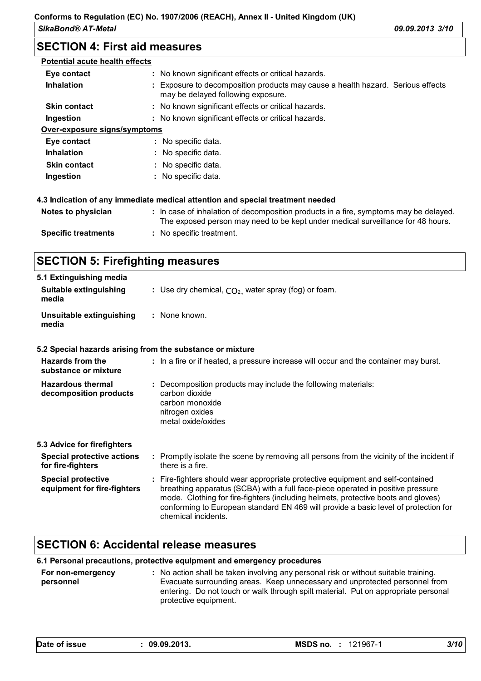*SikaBond® AT-Metal 09.09.2013 3/10*

### **SECTION 4: First aid measures**

| <b>Potential acute health effects</b> |                                                                                                                                                                          |
|---------------------------------------|--------------------------------------------------------------------------------------------------------------------------------------------------------------------------|
| Eye contact                           | : No known significant effects or critical hazards.                                                                                                                      |
| <b>Inhalation</b>                     | Exposure to decomposition products may cause a health hazard. Serious effects<br>may be delayed following exposure.                                                      |
| <b>Skin contact</b>                   | : No known significant effects or critical hazards.                                                                                                                      |
| Ingestion                             | : No known significant effects or critical hazards.                                                                                                                      |
| <u>Over-exposure signs/symptoms</u>   |                                                                                                                                                                          |
| Eye contact                           | : No specific data.                                                                                                                                                      |
| <b>Inhalation</b>                     | : No specific data.                                                                                                                                                      |
| <b>Skin contact</b>                   | : No specific data.                                                                                                                                                      |
| Ingestion                             | : No specific data.                                                                                                                                                      |
|                                       | 4.3 Indication of any immediate medical attention and special treatment needed                                                                                           |
| Notes to physician                    | : In case of inhalation of decomposition products in a fire, symptoms may be delayed.<br>The exposed person may need to be kept under medical surveillance for 48 hours. |
| <b>Specific treatments</b>            | : No specific treatment.                                                                                                                                                 |
|                                       |                                                                                                                                                                          |

### **SECTION 5: Firefighting measures**

| 5.1 Extinguishing media<br>Suitable extinguishing<br>media | : Use dry chemical, $CO2$ , water spray (fog) or foam.                                                                                      |
|------------------------------------------------------------|---------------------------------------------------------------------------------------------------------------------------------------------|
| Unsuitable extinguishing<br>media                          | : None known.                                                                                                                               |
|                                                            | 5.2 Special hazards arising from the substance or mixture                                                                                   |
| Hazards from the<br>substance or mixture                   | : In a fire or if heated, a pressure increase will occur and the container may burst.                                                       |
| <b>Hazardous thermal</b><br>decomposition products         | : Decomposition products may include the following materials:<br>carbon dioxide<br>carbon monoxide<br>nitrogen oxides<br>metal oxide/oxides |

| 5.3 Advice for firefighters                              |                                                                                                                                                                                                                                                                                                                                                                       |  |
|----------------------------------------------------------|-----------------------------------------------------------------------------------------------------------------------------------------------------------------------------------------------------------------------------------------------------------------------------------------------------------------------------------------------------------------------|--|
| <b>Special protective actions</b><br>for fire-fighters   | : Promptly isolate the scene by removing all persons from the vicinity of the incident if<br>there is a fire.                                                                                                                                                                                                                                                         |  |
| <b>Special protective</b><br>equipment for fire-fighters | : Fire-fighters should wear appropriate protective equipment and self-contained<br>breathing apparatus (SCBA) with a full face-piece operated in positive pressure<br>mode. Clothing for fire-fighters (including helmets, protective boots and gloves)<br>conforming to European standard EN 469 will provide a basic level of protection for<br>chemical incidents. |  |

### **SECTION 6: Accidental release measures**

#### **6.1 Personal precautions, protective equipment and emergency procedures**

**For non-emergency personnel :** No action shall be taken involving any personal risk or without suitable training. Evacuate surrounding areas. Keep unnecessary and unprotected personnel from entering. Do not touch or walk through spilt material. Put on appropriate personal protective equipment.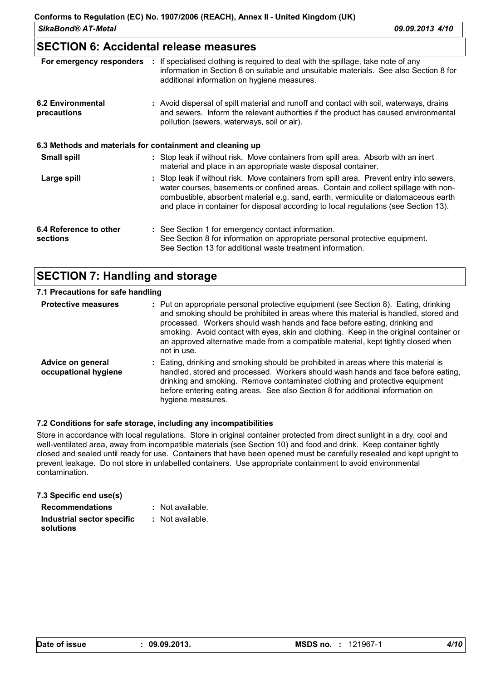*SikaBond® AT-Metal 09.09.2013 4/10*

### **SECTION 6: Accidental release measures**

| For emergency responders                | : If specialised clothing is required to deal with the spillage, take note of any<br>information in Section 8 on suitable and unsuitable materials. See also Section 8 for<br>additional information on hygiene measures.                                                                                                                                     |
|-----------------------------------------|---------------------------------------------------------------------------------------------------------------------------------------------------------------------------------------------------------------------------------------------------------------------------------------------------------------------------------------------------------------|
| <b>6.2 Environmental</b><br>precautions | : Avoid dispersal of spilt material and runoff and contact with soil, waterways, drains<br>and sewers. Inform the relevant authorities if the product has caused environmental<br>pollution (sewers, waterways, soil or air).                                                                                                                                 |
|                                         | 6.3 Methods and materials for containment and cleaning up                                                                                                                                                                                                                                                                                                     |
| <b>Small spill</b>                      | : Stop leak if without risk. Move containers from spill area. Absorb with an inert<br>material and place in an appropriate waste disposal container.                                                                                                                                                                                                          |
| Large spill                             | : Stop leak if without risk. Move containers from spill area. Prevent entry into sewers,<br>water courses, basements or confined areas. Contain and collect spillage with non-<br>combustible, absorbent material e.g. sand, earth, vermiculite or diatomaceous earth<br>and place in container for disposal according to local regulations (see Section 13). |
| 6.4 Reference to other<br>sections      | : See Section 1 for emergency contact information.<br>See Section 8 for information on appropriate personal protective equipment.<br>See Section 13 for additional waste treatment information.                                                                                                                                                               |

### **SECTION 7: Handling and storage**

| 7.1 Precautions for safe handling         |                                                                                                                                                                                                                                                                                                                                                                                                                                                         |
|-------------------------------------------|---------------------------------------------------------------------------------------------------------------------------------------------------------------------------------------------------------------------------------------------------------------------------------------------------------------------------------------------------------------------------------------------------------------------------------------------------------|
| <b>Protective measures</b>                | : Put on appropriate personal protective equipment (see Section 8). Eating, drinking<br>and smoking should be prohibited in areas where this material is handled, stored and<br>processed. Workers should wash hands and face before eating, drinking and<br>smoking. Avoid contact with eyes, skin and clothing. Keep in the original container or<br>an approved alternative made from a compatible material, kept tightly closed when<br>not in use. |
| Advice on general<br>occupational hygiene | : Eating, drinking and smoking should be prohibited in areas where this material is<br>handled, stored and processed. Workers should wash hands and face before eating,<br>drinking and smoking. Remove contaminated clothing and protective equipment<br>before entering eating areas. See also Section 8 for additional information on<br>hygiene measures.                                                                                           |

#### **7.2 Conditions for safe storage, including any incompatibilities**

Store in accordance with local regulations. Store in original container protected from direct sunlight in a dry, cool and well-ventilated area, away from incompatible materials (see Section 10) and food and drink. Keep container tightly closed and sealed until ready for use. Containers that have been opened must be carefully resealed and kept upright to prevent leakage. Do not store in unlabelled containers. Use appropriate containment to avoid environmental contamination.

#### **7.3 Specific end use(s) Recommendations :**

- : Not available.
- **Industrial sector specific : solutions** : Not available.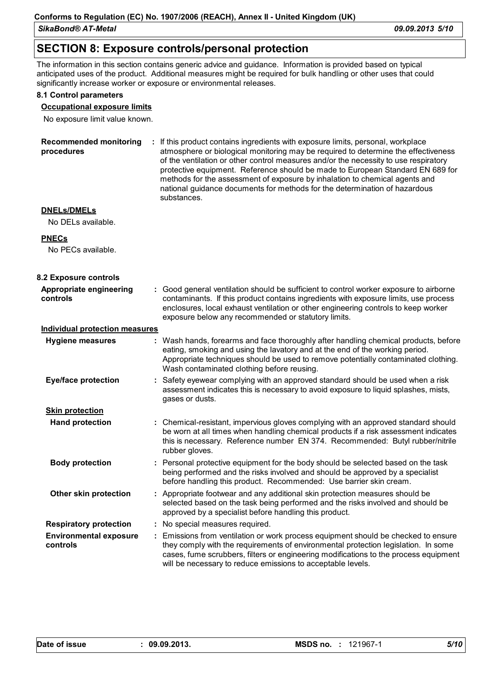*SikaBond® AT-Metal 09.09.2013 5/10*

### **SECTION 8: Exposure controls/personal protection**

The information in this section contains generic advice and guidance. Information is provided based on typical anticipated uses of the product. Additional measures might be required for bulk handling or other uses that could significantly increase worker or exposure or environmental releases.

#### **8.1 Control parameters**

#### **Occupational exposure limits**

No exposure limit value known.

| <b>Recommended monitoring</b><br>procedures |    | : If this product contains ingredients with exposure limits, personal, workplace<br>atmosphere or biological monitoring may be required to determine the effectiveness<br>of the ventilation or other control measures and/or the necessity to use respiratory<br>protective equipment. Reference should be made to European Standard EN 689 for<br>methods for the assessment of exposure by inhalation to chemical agents and<br>national guidance documents for methods for the determination of hazardous<br>substances. |
|---------------------------------------------|----|------------------------------------------------------------------------------------------------------------------------------------------------------------------------------------------------------------------------------------------------------------------------------------------------------------------------------------------------------------------------------------------------------------------------------------------------------------------------------------------------------------------------------|
| <b>DNELs/DMELs</b><br>No DELs available.    |    |                                                                                                                                                                                                                                                                                                                                                                                                                                                                                                                              |
| <b>PNECs</b><br>No PECs available.          |    |                                                                                                                                                                                                                                                                                                                                                                                                                                                                                                                              |
| 8.2 Exposure controls                       |    |                                                                                                                                                                                                                                                                                                                                                                                                                                                                                                                              |
| Appropriate engineering<br>controls         |    | : Good general ventilation should be sufficient to control worker exposure to airborne<br>contaminants. If this product contains ingredients with exposure limits, use process<br>enclosures, local exhaust ventilation or other engineering controls to keep worker<br>exposure below any recommended or statutory limits.                                                                                                                                                                                                  |
| <b>Individual protection measures</b>       |    |                                                                                                                                                                                                                                                                                                                                                                                                                                                                                                                              |
| <b>Hygiene measures</b>                     |    | : Wash hands, forearms and face thoroughly after handling chemical products, before<br>eating, smoking and using the lavatory and at the end of the working period.<br>Appropriate techniques should be used to remove potentially contaminated clothing.<br>Wash contaminated clothing before reusing.                                                                                                                                                                                                                      |
| <b>Eye/face protection</b>                  | ÷  | Safety eyewear complying with an approved standard should be used when a risk<br>assessment indicates this is necessary to avoid exposure to liquid splashes, mists,<br>gases or dusts.                                                                                                                                                                                                                                                                                                                                      |
| <b>Skin protection</b>                      |    |                                                                                                                                                                                                                                                                                                                                                                                                                                                                                                                              |
| <b>Hand protection</b>                      |    | : Chemical-resistant, impervious gloves complying with an approved standard should<br>be worn at all times when handling chemical products if a risk assessment indicates<br>this is necessary. Reference number EN 374. Recommended: Butyl rubber/nitrile<br>rubber gloves.                                                                                                                                                                                                                                                 |
| <b>Body protection</b>                      |    | : Personal protective equipment for the body should be selected based on the task<br>being performed and the risks involved and should be approved by a specialist<br>before handling this product. Recommended: Use barrier skin cream.                                                                                                                                                                                                                                                                                     |
| Other skin protection                       |    | : Appropriate footwear and any additional skin protection measures should be<br>selected based on the task being performed and the risks involved and should be<br>approved by a specialist before handling this product.                                                                                                                                                                                                                                                                                                    |
| <b>Respiratory protection</b>               |    | No special measures required.                                                                                                                                                                                                                                                                                                                                                                                                                                                                                                |
| <b>Environmental exposure</b><br>controls   | ÷. | Emissions from ventilation or work process equipment should be checked to ensure<br>they comply with the requirements of environmental protection legislation. In some<br>cases, fume scrubbers, filters or engineering modifications to the process equipment<br>will be necessary to reduce emissions to acceptable levels.                                                                                                                                                                                                |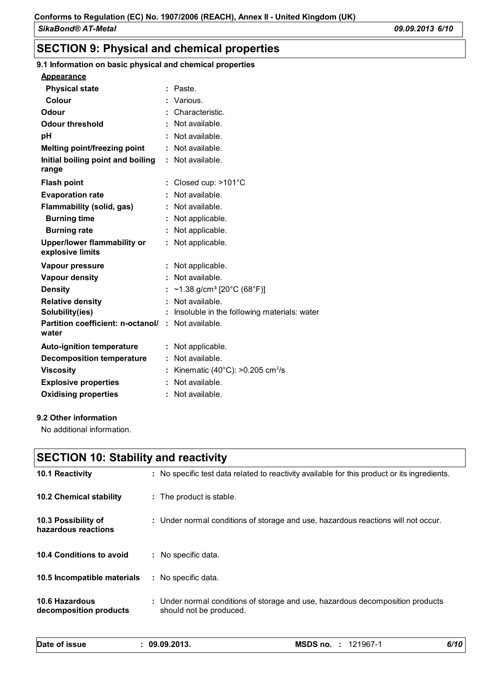# **SECTION 9: Physical and chemical properties**

### **9.1 Information on basic physical and chemical properties**

| <b>Physical state</b>                                              |   | Paste.                                                 |
|--------------------------------------------------------------------|---|--------------------------------------------------------|
| Colour                                                             |   | Various.                                               |
| Odour                                                              |   | Characteristic.                                        |
| <b>Odour threshold</b>                                             |   | Not available.                                         |
| рH                                                                 |   | Not available.                                         |
| <b>Melting point/freezing point</b>                                |   | : Not available.                                       |
| Initial boiling point and boiling<br>range                         |   | : Not available.                                       |
| <b>Flash point</b>                                                 |   | Closed cup: >101°C                                     |
| <b>Evaporation rate</b>                                            |   | Not available.                                         |
| Flammability (solid, gas)                                          |   | Not available.                                         |
| <b>Burning time</b>                                                |   | Not applicable.                                        |
| <b>Burning rate</b>                                                |   | Not applicable.                                        |
| <b>Upper/lower flammability or</b><br>explosive limits             |   | : Not applicable.                                      |
| Vapour pressure                                                    |   | Not applicable.                                        |
| <b>Vapour density</b>                                              | ÷ | Not available.                                         |
| <b>Density</b>                                                     |   | ~1.38 g/cm <sup>3</sup> [20°C (68°F)]                  |
| <b>Relative density</b>                                            |   | Not available.                                         |
| Solubility(ies)                                                    |   | Insoluble in the following materials: water            |
| <b>Partition coefficient: n-octanol/ : Not available.</b><br>water |   |                                                        |
| <b>Auto-ignition temperature</b>                                   |   | : Not applicable.                                      |
| <b>Decomposition temperature</b>                                   |   | Not available.                                         |
| <b>Viscosity</b>                                                   |   | Kinematic (40 $^{\circ}$ C): >0.205 cm <sup>2</sup> /s |
| <b>Explosive properties</b>                                        |   | : Not available.                                       |
| <b>Oxidising properties</b>                                        |   | Not available.                                         |
|                                                                    |   |                                                        |

#### **9.2 Other information**

No additional information.

| <b>SECTION 10: Stability and reactivity</b>     |  |                                                                                                           |
|-------------------------------------------------|--|-----------------------------------------------------------------------------------------------------------|
| <b>10.1 Reactivity</b>                          |  | : No specific test data related to reactivity available for this product or its ingredients.              |
| <b>10.2 Chemical stability</b>                  |  | : The product is stable.                                                                                  |
| 10.3 Possibility of<br>hazardous reactions      |  | : Under normal conditions of storage and use, hazardous reactions will not occur.                         |
| 10.4 Conditions to avoid                        |  | : No specific data.                                                                                       |
| 10.5 Incompatible materials                     |  | : No specific data.                                                                                       |
| <b>10.6 Hazardous</b><br>decomposition products |  | : Under normal conditions of storage and use, hazardous decomposition products<br>should not be produced. |

| Date of issue | 09.09.2013. | MSDS no.<br>121967-1<br>л. | 6/10 |
|---------------|-------------|----------------------------|------|
|               |             |                            |      |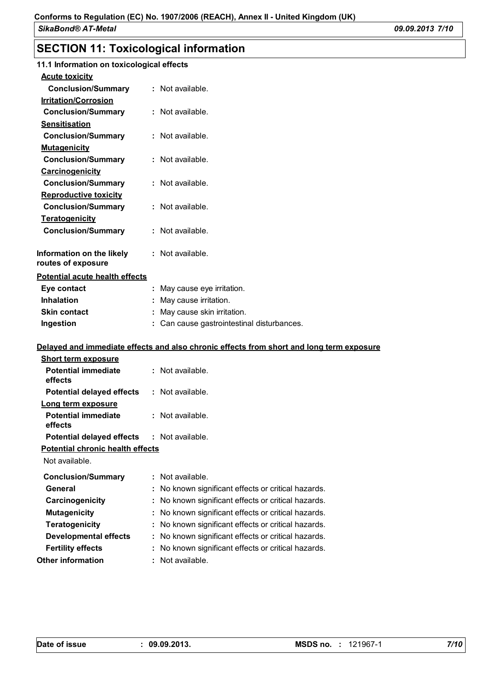# **SECTION 11: Toxicological information**

| 11.1 Information on toxicological effects       |                                                                                          |
|-------------------------------------------------|------------------------------------------------------------------------------------------|
| <b>Acute toxicity</b>                           |                                                                                          |
| <b>Conclusion/Summary</b>                       | : Not available.                                                                         |
| <b>Irritation/Corrosion</b>                     |                                                                                          |
| <b>Conclusion/Summary</b>                       | : Not available.                                                                         |
| <b>Sensitisation</b>                            |                                                                                          |
| <b>Conclusion/Summary</b>                       | : Not available.                                                                         |
| <b>Mutagenicity</b>                             |                                                                                          |
| <b>Conclusion/Summary</b>                       | : Not available.                                                                         |
| Carcinogenicity                                 |                                                                                          |
| <b>Conclusion/Summary</b>                       | : Not available.                                                                         |
| <b>Reproductive toxicity</b>                    |                                                                                          |
| <b>Conclusion/Summary</b>                       | : Not available.                                                                         |
| <b>Teratogenicity</b>                           |                                                                                          |
| <b>Conclusion/Summary</b>                       | : Not available.                                                                         |
|                                                 |                                                                                          |
| Information on the likely<br>routes of exposure | $:$ Not available.                                                                       |
| <b>Potential acute health effects</b>           |                                                                                          |
| Eye contact                                     | : May cause eye irritation.                                                              |
| <b>Inhalation</b>                               | May cause irritation.                                                                    |
| <b>Skin contact</b>                             | : May cause skin irritation.                                                             |
| Ingestion                                       | : Can cause gastrointestinal disturbances.                                               |
|                                                 |                                                                                          |
|                                                 | Delayed and immediate effects and also chronic effects from short and long term exposure |
| <b>Short term exposure</b>                      |                                                                                          |
| <b>Potential immediate</b><br>effects           | : Not available.                                                                         |
| <b>Potential delayed effects</b>                | : Not available.                                                                         |
| Long term exposure                              |                                                                                          |
| <b>Potential immediate</b><br>effects           | : Not available.                                                                         |
| <b>Potential delayed effects</b>                | : Not available.                                                                         |
| Potential chronic health effects                |                                                                                          |
| Not available.                                  |                                                                                          |
| <b>Conclusion/Summary</b>                       | : Not available.                                                                         |
| General                                         | No known significant effects or critical hazards.                                        |
|                                                 |                                                                                          |

- **Carcinogenicity :** No known significant effects or critical hazards.
- **Mutagenicity :** No known significant effects or critical hazards.
	- **Teratogenicity :** No known significant effects or critical hazards. **Developmental effects :** No known significant effects or critical hazards.
- **Fertility effects :** No known significant effects or critical hazards.
- **Other information :** : Not available.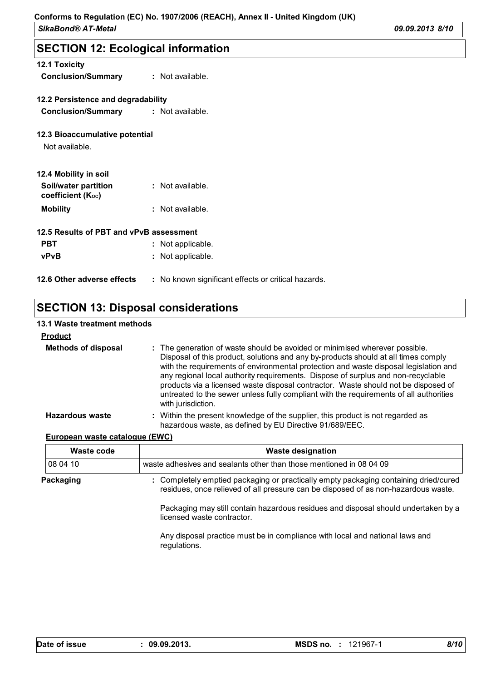### **SECTION 12: Ecological information**

| <b>12.1 Toxicity</b><br><b>Conclusion/Summary</b> | $:$ Not available.                                  |  |  |  |
|---------------------------------------------------|-----------------------------------------------------|--|--|--|
| 12.2 Persistence and degradability                |                                                     |  |  |  |
| Conclusion/Summary : Not available.               |                                                     |  |  |  |
| 12.3 Bioaccumulative potential<br>Not available.  |                                                     |  |  |  |
| 12.4 Mobility in soil                             |                                                     |  |  |  |
| Soil/water partition<br>coefficient $(K_{oc})$    | : Not available.                                    |  |  |  |
| <b>Mobility</b>                                   | : Not available.                                    |  |  |  |
| 12.5 Results of PBT and vPvB assessment           |                                                     |  |  |  |
| <b>PBT</b>                                        | : Not applicable.                                   |  |  |  |
| <b>vPvB</b>                                       | : Not applicable.                                   |  |  |  |
| 12.6 Other adverse effects                        | : No known significant effects or critical hazards. |  |  |  |

### **SECTION 13: Disposal considerations**

#### **Methods of disposal : 13.1 Waste treatment methods Product** The generation of waste should be avoided or minimised wherever possible. Disposal of this product, solutions and any by-products should at all times comply with the requirements of environmental protection and waste disposal legislation and any regional local authority requirements. Dispose of surplus and non-recyclable products via a licensed waste disposal contractor. Waste should not be disposed of untreated to the sewer unless fully compliant with the requirements of all authorities with jurisdiction. **Hazardous waste :** Within the present knowledge of the supplier, this product is not regarded as hazardous waste, as defined by EU Directive 91/689/EEC.

#### **European waste catalogue (EWC)**

| Waste code | <b>Waste designation</b>                                                                                                                                                                                                                                                                       |  |  |  |
|------------|------------------------------------------------------------------------------------------------------------------------------------------------------------------------------------------------------------------------------------------------------------------------------------------------|--|--|--|
| 08 04 10   | waste adhesives and sealants other than those mentioned in 08 04 09                                                                                                                                                                                                                            |  |  |  |
| Packaging  | : Completely emptied packaging or practically empty packaging containing dried/cured<br>residues, once relieved of all pressure can be disposed of as non-hazardous waste.<br>Packaging may still contain hazardous residues and disposal should undertaken by a<br>licensed waste contractor. |  |  |  |
|            | Any disposal practice must be in compliance with local and national laws and<br>regulations.                                                                                                                                                                                                   |  |  |  |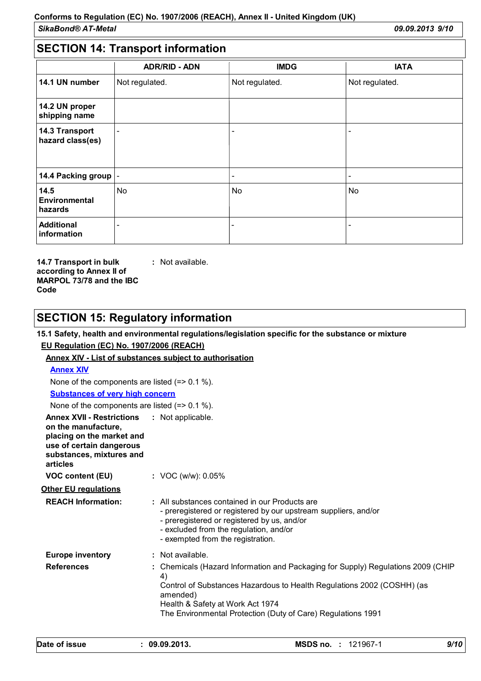# **SECTION 14: Transport information**

|                                    | <b>ADR/RID - ADN</b>     | <b>IMDG</b>              | <b>IATA</b>    |
|------------------------------------|--------------------------|--------------------------|----------------|
| 14.1 UN number                     | Not regulated.           | Not regulated.           | Not regulated. |
| 14.2 UN proper<br>shipping name    |                          |                          |                |
| 14.3 Transport<br>hazard class(es) | $\overline{\phantom{0}}$ | $\overline{\phantom{a}}$ |                |
| 14.4 Packing group  -              |                          | $\overline{\phantom{a}}$ |                |
| 14.5<br>Environmental<br>hazards   | <b>No</b>                | No                       | No             |
| <b>Additional</b><br>information   | $\overline{\phantom{0}}$ | -                        |                |

**14.7 Transport in bulk according to Annex II of MARPOL 73/78 and the IBC Code :** Not available.

# **SECTION 15: Regulatory information**

### **15.1 Safety, health and environmental regulations/legislation specific for the substance or mixture EU Regulation (EC) No. 1907/2006 (REACH)**

#### **Annex XIV - List of substances subject to authorisation**

### **Annex XIV** None of the components are listed (=> 0.1 %).

#### **Substances of very high concern**

None of the components are listed (=> 0.1 %).

| <b>Annex XVII - Restrictions : Not applicable.</b><br>on the manufacture,<br>placing on the market and<br>use of certain dangerous<br>substances, mixtures and<br>articles |                                                                                                                                                                                                                                                                                  |
|----------------------------------------------------------------------------------------------------------------------------------------------------------------------------|----------------------------------------------------------------------------------------------------------------------------------------------------------------------------------------------------------------------------------------------------------------------------------|
| VOC content (EU)                                                                                                                                                           | : VOC (w/w): $0.05\%$                                                                                                                                                                                                                                                            |
| <b>Other EU regulations</b>                                                                                                                                                |                                                                                                                                                                                                                                                                                  |
| <b>REACH Information:</b>                                                                                                                                                  | : All substances contained in our Products are<br>- preregistered or registered by our upstream suppliers, and/or<br>- preregistered or registered by us, and/or<br>- excluded from the regulation, and/or<br>- exempted from the registration.                                  |
| <b>Europe inventory</b>                                                                                                                                                    | : Not available.                                                                                                                                                                                                                                                                 |
| <b>References</b>                                                                                                                                                          | : Chemicals (Hazard Information and Packaging for Supply) Regulations 2009 (CHIP<br>4)<br>Control of Substances Hazardous to Health Regulations 2002 (COSHH) (as<br>amended)<br>Health & Safety at Work Act 1974<br>The Environmental Protection (Duty of Care) Regulations 1991 |

| Date of issue | 09.09.2013. | <b>MSDS no. : 121967-1</b> | 9/10 |
|---------------|-------------|----------------------------|------|
|---------------|-------------|----------------------------|------|